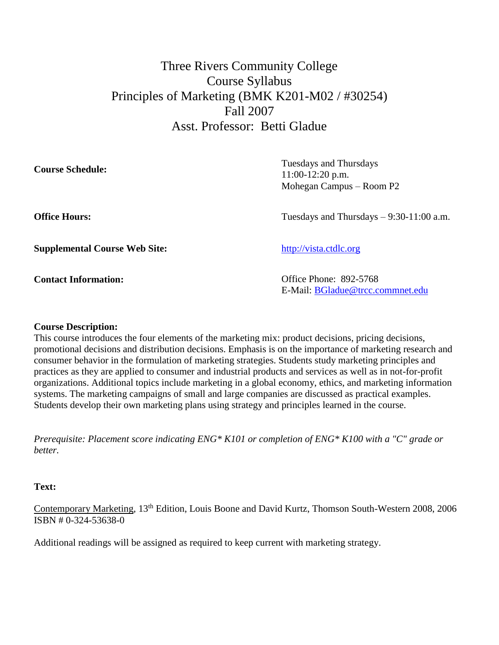# Three Rivers Community College Course Syllabus Principles of Marketing (BMK K201-M02 / #30254) Fall 2007 Asst. Professor: Betti Gladue

| <b>Course Schedule:</b> | Tuesdays and Thursdays<br>$11:00-12:20$ p.m.<br>Mohegan Campus – Room P2 |
|-------------------------|--------------------------------------------------------------------------|
| <b>Office Hours:</b>    | Tuesdays and Thursdays $-9:30-11:00$ a.m.                                |

**Supplemental Course Web Site:** [http://vista.ctdlc.org](http://webct2.ctdlc.org/)

**Contact Information:** Office Phone: 892-5768 E-Mail: [BGladue@trcc.commnet.edu](mailto:BGladue@trcc.commnet.edu)

# **Course Description:**

This course introduces the four elements of the marketing mix: product decisions, pricing decisions, promotional decisions and distribution decisions. Emphasis is on the importance of marketing research and consumer behavior in the formulation of marketing strategies. Students study marketing principles and practices as they are applied to consumer and industrial products and services as well as in not-for-profit organizations. Additional topics include marketing in a global economy, ethics, and marketing information systems. The marketing campaigns of small and large companies are discussed as practical examples. Students develop their own marketing plans using strategy and principles learned in the course.

*Prerequisite: Placement score indicating ENG\* K101 or completion of ENG\* K100 with a "C" grade or better.*

#### **Text:**

Contemporary Marketing, 13th Edition, Louis Boone and David Kurtz, Thomson South-Western 2008, 2006 ISBN # 0-324-53638-0

Additional readings will be assigned as required to keep current with marketing strategy.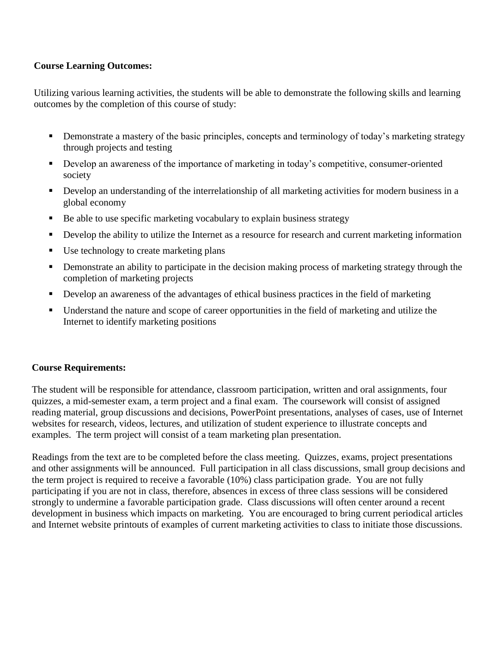# **Course Learning Outcomes:**

Utilizing various learning activities, the students will be able to demonstrate the following skills and learning outcomes by the completion of this course of study:

- Demonstrate a mastery of the basic principles, concepts and terminology of today's marketing strategy through projects and testing
- Develop an awareness of the importance of marketing in today's competitive, consumer-oriented society
- Develop an understanding of the interrelationship of all marketing activities for modern business in a global economy
- Be able to use specific marketing vocabulary to explain business strategy
- Develop the ability to utilize the Internet as a resource for research and current marketing information
- Use technology to create marketing plans
- **•** Demonstrate an ability to participate in the decision making process of marketing strategy through the completion of marketing projects
- Develop an awareness of the advantages of ethical business practices in the field of marketing
- Understand the nature and scope of career opportunities in the field of marketing and utilize the Internet to identify marketing positions

# **Course Requirements:**

The student will be responsible for attendance, classroom participation, written and oral assignments, four quizzes, a mid-semester exam, a term project and a final exam. The coursework will consist of assigned reading material, group discussions and decisions, PowerPoint presentations, analyses of cases, use of Internet websites for research, videos, lectures, and utilization of student experience to illustrate concepts and examples. The term project will consist of a team marketing plan presentation.

Readings from the text are to be completed before the class meeting. Quizzes, exams, project presentations and other assignments will be announced. Full participation in all class discussions, small group decisions and the term project is required to receive a favorable (10%) class participation grade. You are not fully participating if you are not in class, therefore, absences in excess of three class sessions will be considered strongly to undermine a favorable participation grade. Class discussions will often center around a recent development in business which impacts on marketing. You are encouraged to bring current periodical articles and Internet website printouts of examples of current marketing activities to class to initiate those discussions.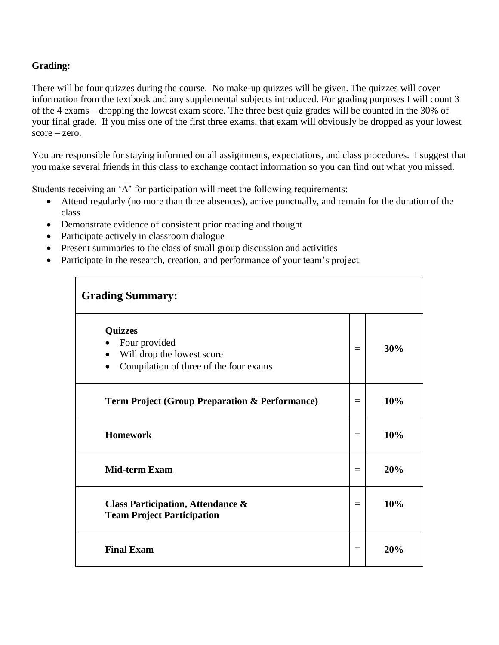# **Grading:**

There will be four quizzes during the course. No make-up quizzes will be given. The quizzes will cover information from the textbook and any supplemental subjects introduced. For grading purposes I will count 3 of the 4 exams – dropping the lowest exam score. The three best quiz grades will be counted in the 30% of your final grade. If you miss one of the first three exams, that exam will obviously be dropped as your lowest score – zero.

You are responsible for staying informed on all assignments, expectations, and class procedures. I suggest that you make several friends in this class to exchange contact information so you can find out what you missed.

Students receiving an 'A' for participation will meet the following requirements:

- Attend regularly (no more than three absences), arrive punctually, and remain for the duration of the class
- Demonstrate evidence of consistent prior reading and thought
- Participate actively in classroom dialogue
- Present summaries to the class of small group discussion and activities
- Participate in the research, creation, and performance of your team's project.

| <b>Grading Summary:</b>                                                                                              |     |     |  |  |  |
|----------------------------------------------------------------------------------------------------------------------|-----|-----|--|--|--|
| <b>Quizzes</b><br>Four provided<br>Will drop the lowest score<br>$\bullet$<br>Compilation of three of the four exams | $=$ | 30% |  |  |  |
| <b>Term Project (Group Preparation &amp; Performance)</b>                                                            |     | 10% |  |  |  |
| <b>Homework</b>                                                                                                      | $=$ | 10% |  |  |  |
| <b>Mid-term Exam</b>                                                                                                 |     | 20% |  |  |  |
| <b>Class Participation, Attendance &amp;</b><br><b>Team Project Participation</b>                                    | $=$ | 10% |  |  |  |
| <b>Final Exam</b>                                                                                                    | $=$ | 20% |  |  |  |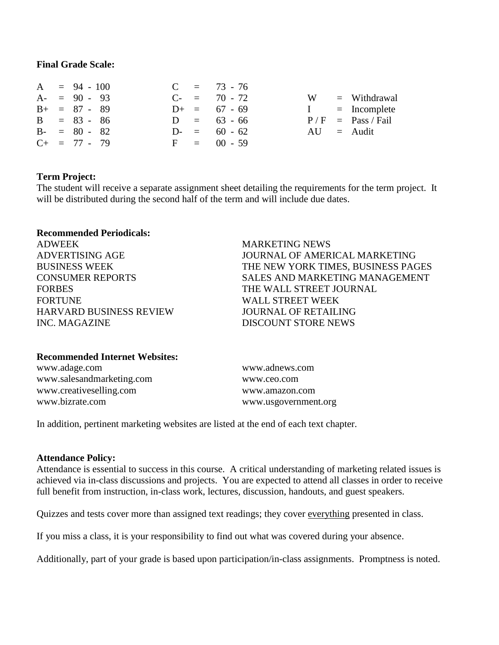#### **Final Grade Scale:**

|  | $A = 94 - 100$    |  | $C = 73 - 76$     |   |                     |
|--|-------------------|--|-------------------|---|---------------------|
|  | $A - = 90 - 93$   |  | $C_{-}$ = 70 - 72 | W | $=$ Withdrawal      |
|  | $B+ = 87 - 89$    |  | $D_{+}$ = 67 - 69 |   | $I = Incomplete$    |
|  | $B = 83 - 86$     |  | $D = 63 - 66$     |   | $P/F = Pass / Fail$ |
|  | $B - = 80 - 82$   |  | $D = 60 - 62$     |   | $AU =$ Audit        |
|  | $C_{+}$ = 77 - 79 |  | $F = 00 - 59$     |   |                     |

#### **Term Project:**

The student will receive a separate assignment sheet detailing the requirements for the term project. It will be distributed during the second half of the term and will include due dates.

## **Recommended Periodicals:**

ADWEEK MARKETING NEWS FORTUNE WALL STREET WEEK HARVARD BUSINESS REVIEW JOURNAL OF RETAILING INC. MAGAZINE DISCOUNT STORE NEWS

ADVERTISING AGE JOURNAL OF AMERICAL MARKETING BUSINESS WEEK THE NEW YORK TIMES, BUSINESS PAGES CONSUMER REPORTS SALES AND MARKETING MANAGEMENT FORBES THE WALL STREET JOURNAL

#### **Recommended Internet Websites:**

www.adage.com [www.adnews.com](../../../Documents%20and%20Settings/mchartier/Local%20Settings/Temporary%20Internet%20Files/Local%20Settings/Temp/www.adnews.com) www.salesandmarketing.com [www.ceo.com](../../../Documents%20and%20Settings/mchartier/Local%20Settings/Temporary%20Internet%20Files/Local%20Settings/Temp/www.ceo.com) www.creativeselling.com www.amazon.com www.bizrate.com www.usgovernment.org

In addition, pertinent marketing websites are listed at the end of each text chapter.

#### **Attendance Policy:**

Attendance is essential to success in this course. A critical understanding of marketing related issues is achieved via in-class discussions and projects. You are expected to attend all classes in order to receive full benefit from instruction, in-class work, lectures, discussion, handouts, and guest speakers.

Quizzes and tests cover more than assigned text readings; they cover everything presented in class.

If you miss a class, it is your responsibility to find out what was covered during your absence.

Additionally, part of your grade is based upon participation/in-class assignments. Promptness is noted.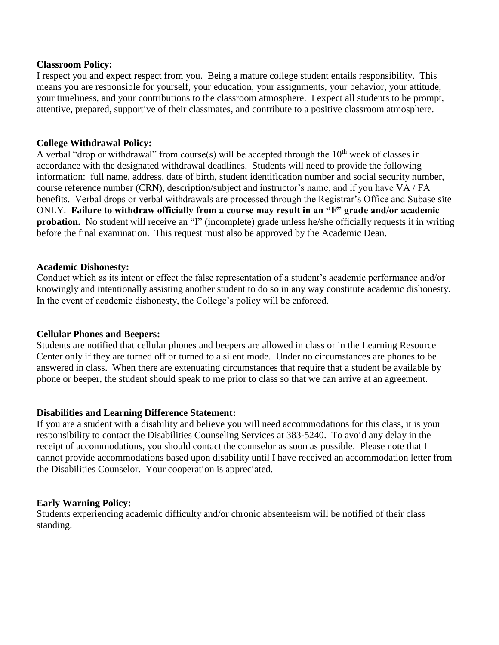#### **Classroom Policy:**

I respect you and expect respect from you. Being a mature college student entails responsibility. This means you are responsible for yourself, your education, your assignments, your behavior, your attitude, your timeliness, and your contributions to the classroom atmosphere. I expect all students to be prompt, attentive, prepared, supportive of their classmates, and contribute to a positive classroom atmosphere.

#### **College Withdrawal Policy:**

A verbal "drop or withdrawal" from course(s) will be accepted through the  $10<sup>th</sup>$  week of classes in accordance with the designated withdrawal deadlines. Students will need to provide the following information: full name, address, date of birth, student identification number and social security number, course reference number (CRN), description/subject and instructor's name, and if you have VA / FA benefits. Verbal drops or verbal withdrawals are processed through the Registrar's Office and Subase site ONLY. **Failure to withdraw officially from a course may result in an "F" grade and/or academic probation.** No student will receive an "I" (incomplete) grade unless he/she officially requests it in writing before the final examination. This request must also be approved by the Academic Dean.

#### **Academic Dishonesty:**

Conduct which as its intent or effect the false representation of a student's academic performance and/or knowingly and intentionally assisting another student to do so in any way constitute academic dishonesty. In the event of academic dishonesty, the College's policy will be enforced.

#### **Cellular Phones and Beepers:**

Students are notified that cellular phones and beepers are allowed in class or in the Learning Resource Center only if they are turned off or turned to a silent mode. Under no circumstances are phones to be answered in class. When there are extenuating circumstances that require that a student be available by phone or beeper, the student should speak to me prior to class so that we can arrive at an agreement.

#### **Disabilities and Learning Difference Statement:**

If you are a student with a disability and believe you will need accommodations for this class, it is your responsibility to contact the Disabilities Counseling Services at 383-5240. To avoid any delay in the receipt of accommodations, you should contact the counselor as soon as possible. Please note that I cannot provide accommodations based upon disability until I have received an accommodation letter from the Disabilities Counselor. Your cooperation is appreciated.

#### **Early Warning Policy:**

Students experiencing academic difficulty and/or chronic absenteeism will be notified of their class standing.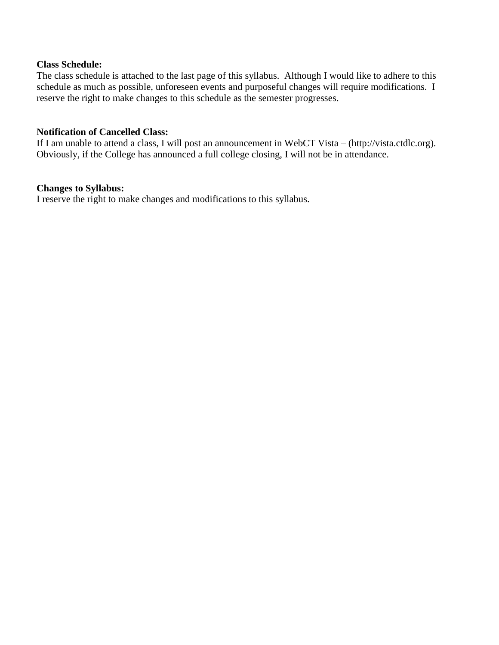#### **Class Schedule:**

The class schedule is attached to the last page of this syllabus. Although I would like to adhere to this schedule as much as possible, unforeseen events and purposeful changes will require modifications. I reserve the right to make changes to this schedule as the semester progresses.

#### **Notification of Cancelled Class:**

If I am unable to attend a class, I will post an announcement in WebCT Vista – (http://vista.ctdlc.org). Obviously, if the College has announced a full college closing, I will not be in attendance.

#### **Changes to Syllabus:**

I reserve the right to make changes and modifications to this syllabus.